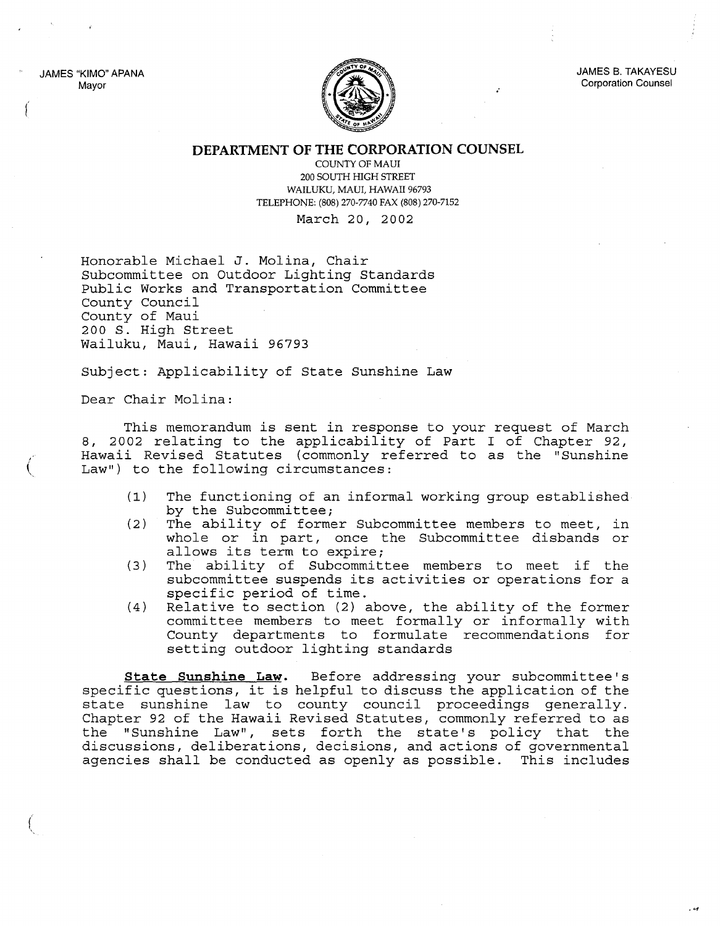JAMES "KIMO" APANA Mayor

(

 $\big($ 

(



JAMES B. TAKAYESU Corporation Counsel

## **DEPARTMENT OF THE CORPORATION COUNSEL**

COUNTY OF MAUl 200 SOUTH HIGH STREET WAILUKU, MAUl, HAWAII 96793 TELEPHONE: (808) 270-7740 FAX (808) 270-7152

March 20, 2002

Honorable Michael J. Molina, Chair Subcommittee on Outdoor Lighting Standards Public Works and Transportation Committee County Council County of Maui 200 S. High Street Wailuku, Maui, Hawaii 96793

Subject: Applicability of State Sunshine Law

Dear Chair Molina:

This memorandum is sent in response to your request of March 8, 2002 relating to the applicability of Part I of Chapter 92, Hawaii Revised Statutes (commonly referred to as the "Sunshine Law") to the following circumstances:

- (1) The functioning of an informal working group established by the Subcommittee;
- (2) The ability of former Subcommittee members to meet, in whole or in part, once the Subcommittee disbands or allows its term to expire;
- (3) The ability of Subcommittee members to meet if the subcommittee suspends its activities or operations for <sup>a</sup> specific period of time.
- (4) Relative to section (2) above, the ability of the former committee members to meet formally or informally with County departments to formulate recommendations for setting outdoor lighting standards

**State Sunshine Law.** Before addressing your subcommittee's specific questions, it is helpful to discuss the application of the state sunshine law to county council proceedings generally. Chapter 92 of the Hawaii Revised Statutes, commonly referred to as the "Sunshine Law", sets forth the state's policy that the discussions, deliberations, decisions, and actions of governmental agencies shall be conducted as openly as possible. This includes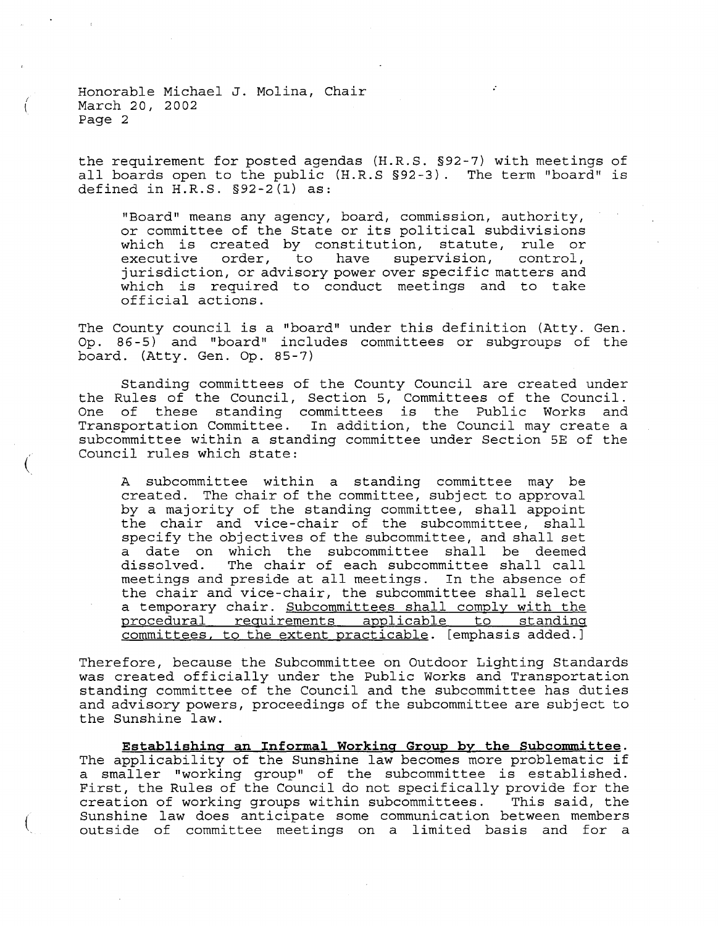(  $\overline{\mathcal{K}}$ 

 $\acute{}$ 

(

the requirement for posted agendas (H.R.S. §92-7) with meetings of all boards open to the public (H.R.S §92-3). The term "board" is defined in H.R.S. §92-2(l) as:

"Board" means any agency, board, commission, authority, or committee of the State or its political subdivisions which is created by constitution, statute, rule or executive order, to have supervision, control, jurisdiction, or advisory power over specific matters and which is required to conduct meetings and to take official actions.

The County council is <sup>a</sup> "board" under this definition (Atty. Gen. Op. 86-5) and "board" includes committees or subgroups of the board. (Atty. Gen. Op. 85-7)

Standing committees of the County Council are created under the Rules of the Council, Section 5, Committees of the Council. One of these standing committees is the Public Works and Transportation Committee. In addition, the Council may create a subcommittee within a standing committee under Section 5E of the Council rules which state:

A subcommittee within a standing committee may be created. The chair of the committee, subject to approval by <sup>a</sup> majority of the standing committee, shall appoint the chair and vice-chair of the subcommittee, shall specify the objectives of the subcommittee, and shall set a date on which the subcommittee shall be deemed<br>dissolved. The chair of each subcommittee shall call The chair of each subcommittee shall call meetings and preside at all meetings. In the absence of the chair and vice-chair, the subcommittee shall select a temporary chair. Subcommittees shall comply with the procedural requirements applicable to standing committees, to the extent practicable. [emphasis added.]

Therefore, because the Subcommittee on Outdoor Lighting Standards was created officially under the Public Works and Transportation standing committee of the Council and the subcommittee has duties and advisory powers, proceedings of the subcommittee are subject to the Sunshine law.

**Establishing an Informal Working Group by the Subcommittee.** The applicability of the Sunshine law becomes more problematic if <sup>a</sup> smaller "working group" of the subcommittee is established. First, the Rules of the Council do not specifically provide for the creation of working groups within subcommittees. This said, the Sunshine law does anticipate some communication between members outside of committee meetings on a limited basis and for a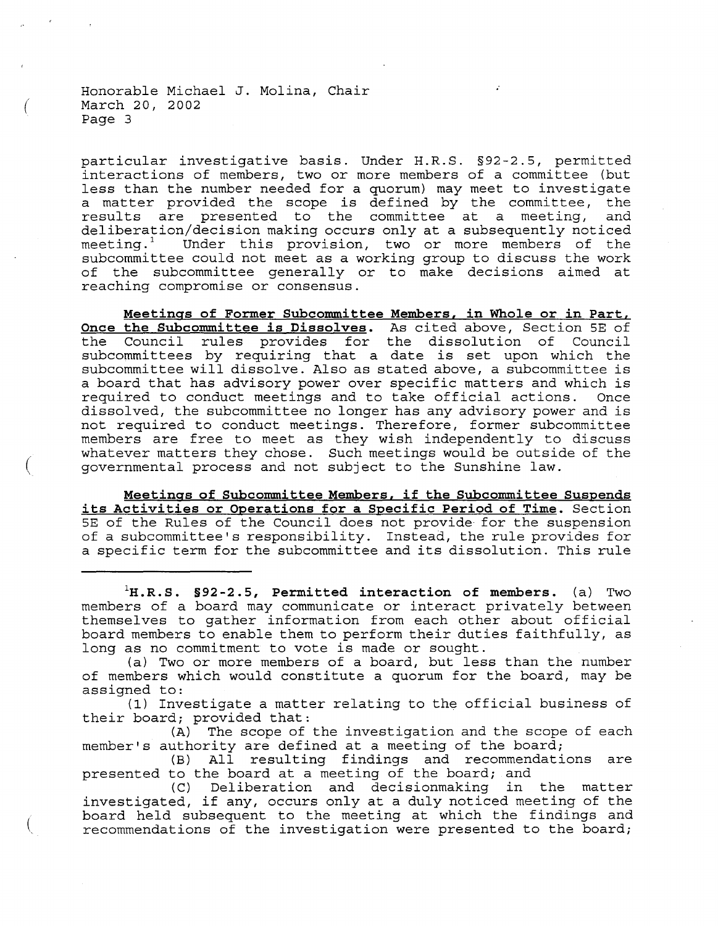(

particular investigative basis. Under H.R.S. §92-2.5, permitted interactions of members, two or more members of <sup>a</sup> committee (but less than the number needed for <sup>a</sup> quorum) may meet to investigate <sup>a</sup> matter provided the scope is defined by the committee, the results are presented to the committee at <sup>a</sup> meeting, and deliberation/decision making occurs only at <sup>a</sup> subsequently noticed meeting.<sup>1</sup> Under this provision, two or more members of the subcommittee could not meet as a working group to discuss the work of the subcommittee generally or to make decisions aimed at reaching compromise or consensus.

**Meetings of Former Subcommittee Members, in Whole or in Part, Once the Subcommittee is Dissolves.** As cited above, Section 5E of the Council rules provides for the dissolution of Council subcommittees by requiring that <sup>a</sup> date is set upon which the subcommittee will dissolve. Also as stated above, <sup>a</sup> subcommittee is a board that has advisory power over specific matters and which is required to conduct meetings and to take official actions. Once required to conduct meetings and to take official actions. dissolved, the subcommittee no longer has any advisory power and is not required to conduct meetings. Therefore, former subcommittee members are free to meet as they wish independently to discuss whatever matters they chose. Such meetings would be outside of the governmental process and not subject to the Sunshine law.

**Meetings of Subcommittee Members, if the Subcommittee Suspends its Activities or Operations for <sup>a</sup> Specific Period of Time.** Section 5E of the Rules of the Council does not provide- for the suspension of a subcommittee's responsibility. Instead, the rule provides for <sup>a</sup> specific term for the subcommittee and its dissolution. This rule

**IH.R. S. §92 -2.5, Permitted interaction of members.** (a) Two members of <sup>a</sup> board may communicate or interact privately between themselves to gather information from each other about official board members to enable them to perform their duties faithfully, as long as no commitment to vote is made or sought.

(a) Two or more members of <sup>a</sup> board, but less than the number of members which would constitute a quorum for the board, may be assigned to:

(1) Investigate <sup>a</sup> matter relating to the official business of their board; provided that:

(A) The scope of the investigation and the scope of each member's authority are defined at <sup>a</sup> meeting of the board;

(B) All resulting findings and recommendations are presented to the board at <sup>a</sup> meeting of the board; and

(C) Deliberation and decisionmaking in the matter investigated, if any, occurs only at <sup>a</sup> duly noticed meeting of the board held subsequent to the meeting at which the findings and recommendations of the investigation were presented to the board;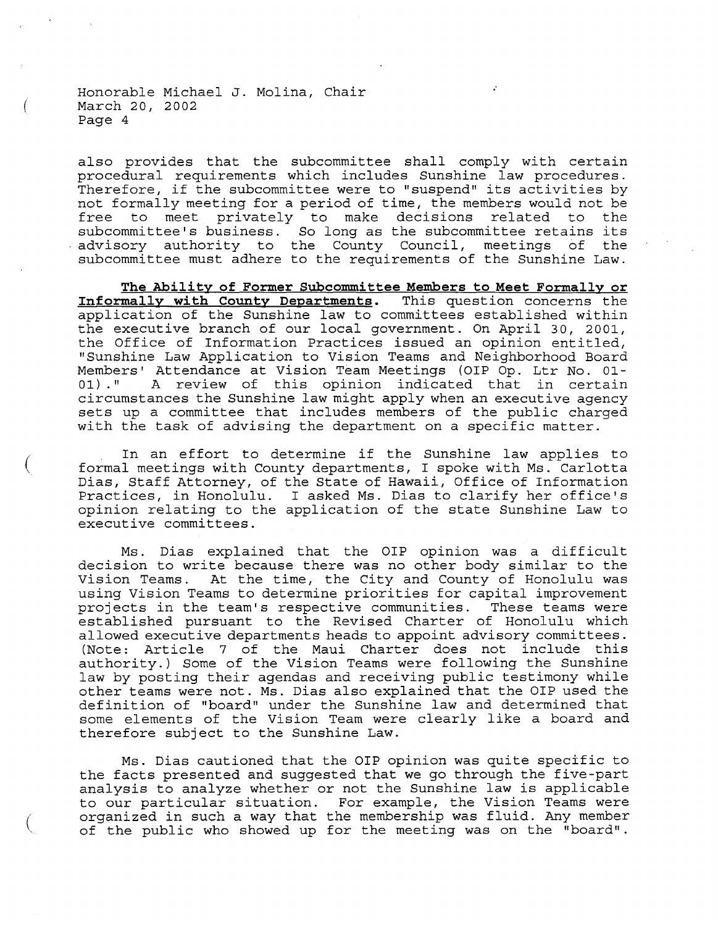(

(

(

also provides that the subcommittee shall comply with certain procedural requirements which includes Sunshine law procedures. Therefore, if the subcommittee were to "suspend" its activities by not formally meeting for a period of time, the members would not be free to meet privately to make decisions related to the subcommittee's business. So long as the subcommittee retains its advisory authority to the County Council, meetings of the subcommittee must adhere to the requirements of the Sunshine Law.

**The Ability of Former Subcommittee Members to Meet Formally or Informally with County Departments.** This question concerns the application of the Sunshine law to committees established within the executive branch of our local government. On April 30, 2001, the Office of Information Practices issued an opinion entitled, "Sunshine Law Application to Vision Teams and Neighborhood Board Members' Attendance at Vision Team Meetings (OIP Op. Ltr No. 01-<br>01)." A review of this opinion indicated that in certain A review of this opinion indicated that in certain circumstances the Sunshine law might apply when an executive agency sets up <sup>a</sup> committee that includes members of the public charged with the task of advising the department on a specific matter.

In an effort to determine if the Sunshine law applies to formal meetings with County departments, I spoke with Ms. Carlotta Dias, Staff Attorney, of the State of Hawaii, Office of Information Practices, in Honolulu. <sup>I</sup> asked Ms. Dias to clarify her office's opinion relating to the application of the state Sunshine Law to executive committees.

Ms. Dias explained that the OIP opinion was <sup>a</sup> difficult decision to write because there was no other body similar to the Vision Teams. At the time, the City and County of Honolulu was using Vision Teams to determine priorities for capital improvement projects in the team's respective communities. These teams were established pursuant to the Revised Charter of Honolulu which allowed executive departments heads to appoint advisory committees. (Note: Article <sup>7</sup> of the Maui Charter does not include this authority.) Some of the Vision Teams were following the Sunshine law by posting their agendas and receiving public testimony while other teams were not. Ms. Dias also explained that the OIP used the definition of "board" under the Sunshine law and determined that some elements of the Vision Team were clearly like a board and therefore subject to the Sunshine Law.

Ms. Dias cautioned that the OIP opinion was quite specific to the facts presented and suggested that we go through the five-part analysis to analyze whether or not the Sunshine law is applicable to our particular situation. For example, the Vision Teams were organized in such a way that the membership was fluid. Any member of the public who showed up for the meeting was on the "board".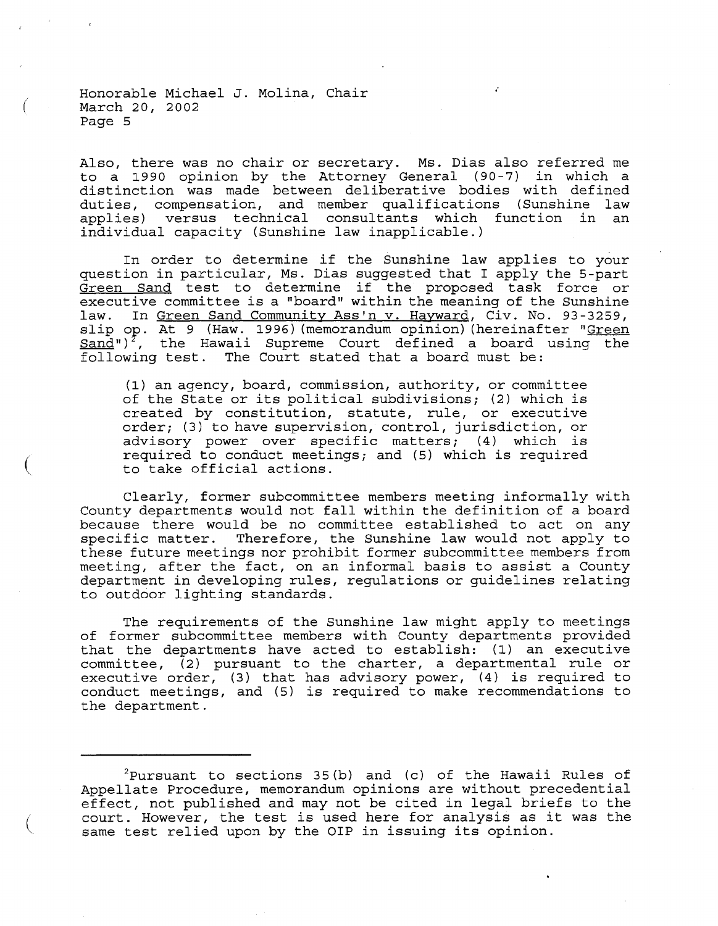(

(

(

Also, there was no chair or secretary. Ms. Dias also referred me to <sup>a</sup> 1990 opinion by the Attorney General (90-7) in which <sup>a</sup> distinction was made between deliberative bodies with defined duties, compensation, and member qualifications (Sunshine law<br>applies) versus technical consultants which function in an versus technical consultants which function in individual capacity (Sunshine law inapplicable.)

,.

In order to determine if the Sunshine law applies to your question in particular, Ms. Dias suggested that <sup>I</sup> apply the 5-part Green Sand test to determine if the proposed task force or executive committee is <sup>a</sup> "board" within the meaning of the Sunshine law. In Green Sand Community Ass'n v. Hayward, Civ. No. 93-3259, slip op. At 9 (Haw. 1996) (memorandum opinion) (hereinafter "Green  $Sand'$ ")<sup>2</sup>, the Hawaii Supreme Court defined a board using the following test. The Court stated that <sup>a</sup> board must be:

(1) an agency, board, commission, authority, or committee of the State or its political subdivisions; (2) which is created by constitution, statute, rule, or executive order; (3) to have supervision, control, jurisdiction, or advisory power over specific matters; (4) which is required to conduct meetings; and (5) which is required to take official actions.

Clearly, former subcommittee members meeting informally with County departments would not fall within the definition of <sup>a</sup> board because there would be no committee established to act on any specific matter. Therefore, the Sunshine law would not apply to these future meetings nor prohibit former subcommittee members from meeting, after the fact, on an informal basis to assist <sup>a</sup> County department in developing rules, regulations or guidelines relating to outdoor lighting standards.

The requirements of the Sunshine law might apply to meetings of former subcommittee members with County departments provided that the departments have acted to establish: (1) an executive committee, (2) pursuant to the charter, a departmental rule or executive order, (3) that has advisory power, (4) is required to conduct meetings, and (5) is required to make recommendations to the department.

 $^{2}$ Pursuant to sections 35(b) and (c) of the Hawaii Rules of Appellate Procedure, memorandum opinions are without precedential effect, not published and may not be cited in legal briefs to the court. However, the test is used here for analysis as it was the same test relied upon by the OIP in issuing its opinion.